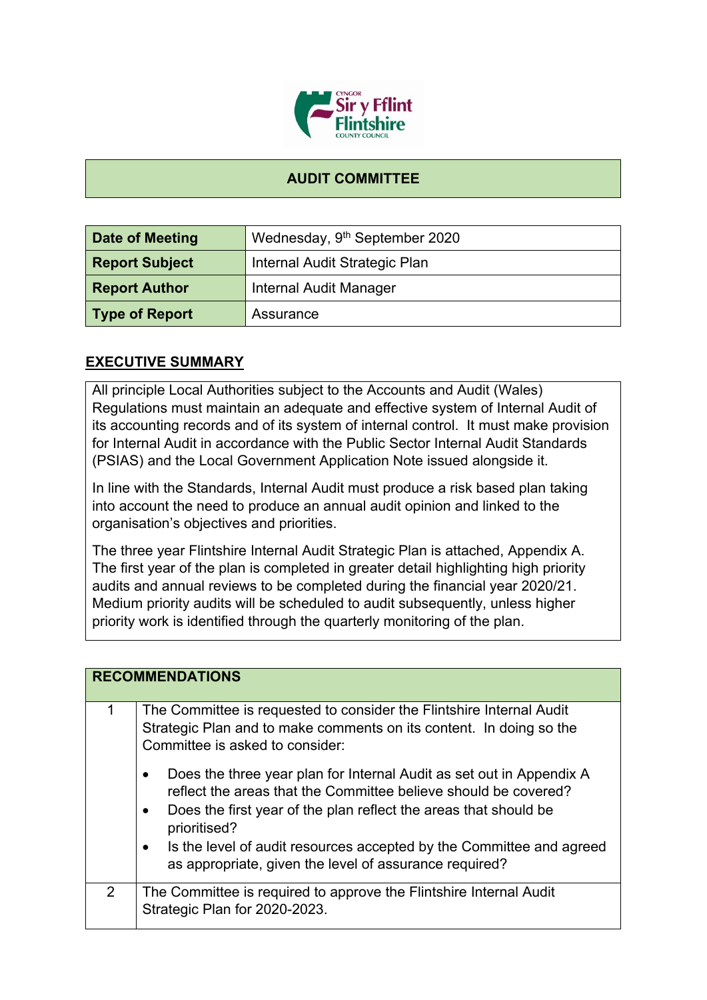

## **AUDIT COMMITTEE**

| Date of Meeting       | Wednesday, 9 <sup>th</sup> September 2020 |
|-----------------------|-------------------------------------------|
| <b>Report Subject</b> | Internal Audit Strategic Plan             |
| <b>Report Author</b>  | Internal Audit Manager                    |
| Type of Report        | Assurance                                 |

## **EXECUTIVE SUMMARY**

All principle Local Authorities subject to the Accounts and Audit (Wales) Regulations must maintain an adequate and effective system of Internal Audit of its accounting records and of its system of internal control. It must make provision for Internal Audit in accordance with the Public Sector Internal Audit Standards (PSIAS) and the Local Government Application Note issued alongside it.

In line with the Standards, Internal Audit must produce a risk based plan taking into account the need to produce an annual audit opinion and linked to the organisation's objectives and priorities.

The three year Flintshire Internal Audit Strategic Plan is attached, Appendix A. The first year of the plan is completed in greater detail highlighting high priority audits and annual reviews to be completed during the financial year 2020/21. Medium priority audits will be scheduled to audit subsequently, unless higher priority work is identified through the quarterly monitoring of the plan.

|   | <b>RECOMMENDATIONS</b>                                                                                                                                                                                                                                |
|---|-------------------------------------------------------------------------------------------------------------------------------------------------------------------------------------------------------------------------------------------------------|
|   |                                                                                                                                                                                                                                                       |
|   | The Committee is requested to consider the Flintshire Internal Audit<br>Strategic Plan and to make comments on its content. In doing so the<br>Committee is asked to consider:                                                                        |
|   | Does the three year plan for Internal Audit as set out in Appendix A<br>$\bullet$<br>reflect the areas that the Committee believe should be covered?<br>Does the first year of the plan reflect the areas that should be<br>$\bullet$<br>prioritised? |
|   | Is the level of audit resources accepted by the Committee and agreed<br>as appropriate, given the level of assurance required?                                                                                                                        |
| 2 | The Committee is required to approve the Flintshire Internal Audit<br>Strategic Plan for 2020-2023.                                                                                                                                                   |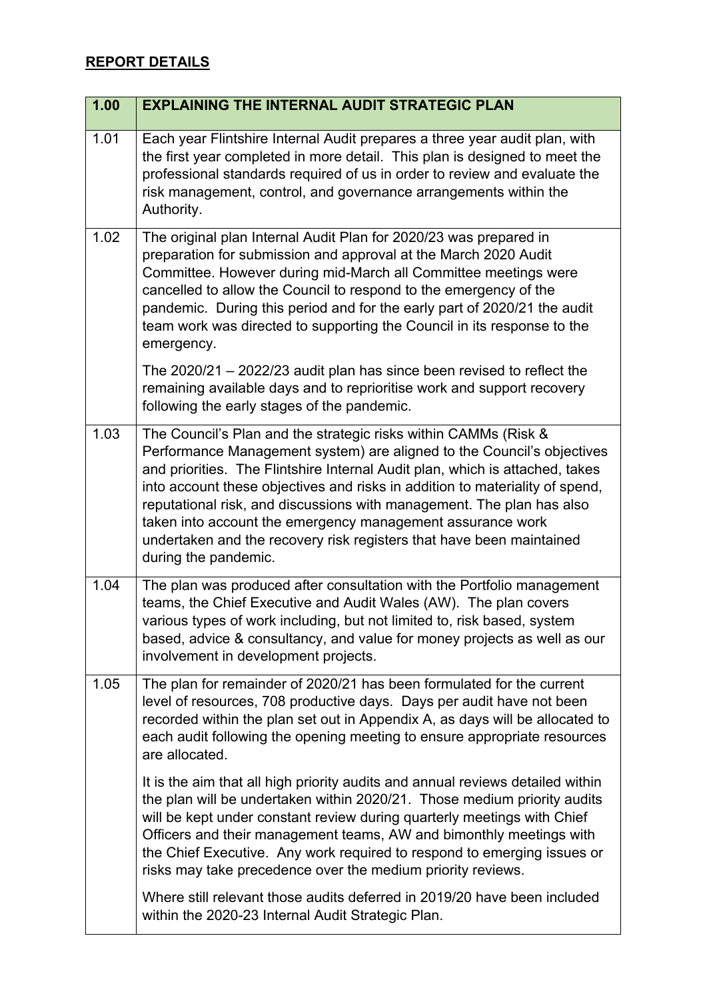## **REPORT DETAILS**

| 1.00 | <b>EXPLAINING THE INTERNAL AUDIT STRATEGIC PLAN</b>                                                                                                                                                                                                                                                                                                                                                                                                                                                                                              |
|------|--------------------------------------------------------------------------------------------------------------------------------------------------------------------------------------------------------------------------------------------------------------------------------------------------------------------------------------------------------------------------------------------------------------------------------------------------------------------------------------------------------------------------------------------------|
| 1.01 | Each year Flintshire Internal Audit prepares a three year audit plan, with<br>the first year completed in more detail. This plan is designed to meet the<br>professional standards required of us in order to review and evaluate the<br>risk management, control, and governance arrangements within the<br>Authority.                                                                                                                                                                                                                          |
| 1.02 | The original plan Internal Audit Plan for 2020/23 was prepared in<br>preparation for submission and approval at the March 2020 Audit<br>Committee. However during mid-March all Committee meetings were<br>cancelled to allow the Council to respond to the emergency of the<br>pandemic. During this period and for the early part of 2020/21 the audit<br>team work was directed to supporting the Council in its response to the<br>emergency.                                                                                                |
|      | The $2020/21 - 2022/23$ audit plan has since been revised to reflect the<br>remaining available days and to reprioritise work and support recovery<br>following the early stages of the pandemic.                                                                                                                                                                                                                                                                                                                                                |
| 1.03 | The Council's Plan and the strategic risks within CAMMs (Risk &<br>Performance Management system) are aligned to the Council's objectives<br>and priorities. The Flintshire Internal Audit plan, which is attached, takes<br>into account these objectives and risks in addition to materiality of spend,<br>reputational risk, and discussions with management. The plan has also<br>taken into account the emergency management assurance work<br>undertaken and the recovery risk registers that have been maintained<br>during the pandemic. |
| 1.04 | The plan was produced after consultation with the Portfolio management<br>teams, the Chief Executive and Audit Wales (AW). The plan covers<br>various types of work including, but not limited to, risk based, system<br>based, advice & consultancy, and value for money projects as well as our<br>involvement in development projects.                                                                                                                                                                                                        |
| 1.05 | The plan for remainder of 2020/21 has been formulated for the current<br>level of resources, 708 productive days. Days per audit have not been<br>recorded within the plan set out in Appendix A, as days will be allocated to<br>each audit following the opening meeting to ensure appropriate resources<br>are allocated.                                                                                                                                                                                                                     |
|      | It is the aim that all high priority audits and annual reviews detailed within<br>the plan will be undertaken within 2020/21. Those medium priority audits<br>will be kept under constant review during quarterly meetings with Chief<br>Officers and their management teams, AW and bimonthly meetings with<br>the Chief Executive. Any work required to respond to emerging issues or<br>risks may take precedence over the medium priority reviews.                                                                                           |
|      | Where still relevant those audits deferred in 2019/20 have been included<br>within the 2020-23 Internal Audit Strategic Plan.                                                                                                                                                                                                                                                                                                                                                                                                                    |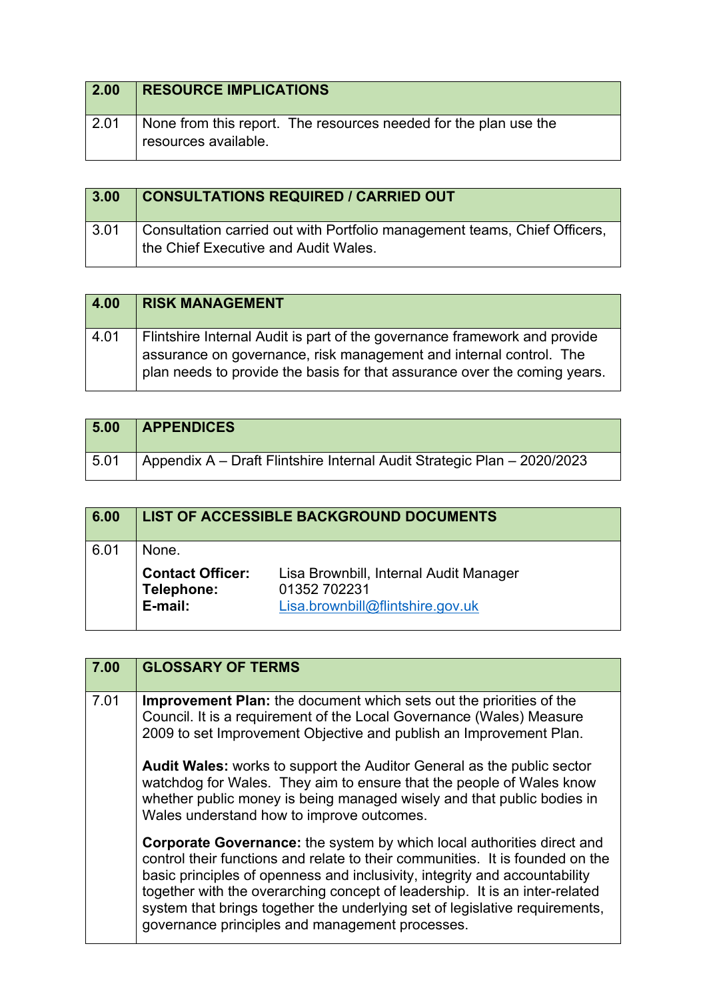| 2.00         | <b>RESOURCE IMPLICATIONS</b>                                                             |
|--------------|------------------------------------------------------------------------------------------|
| $\vert$ 2.01 | None from this report. The resources needed for the plan use the<br>resources available. |

| 3.00 | <b>CONSULTATIONS REQUIRED / CARRIED OUT</b>                                                                       |
|------|-------------------------------------------------------------------------------------------------------------------|
| 3.01 | Consultation carried out with Portfolio management teams, Chief Officers,<br>the Chief Executive and Audit Wales. |

| 4.00 | <b>RISK MANAGEMENT</b>                                                                                                                                                                                                       |
|------|------------------------------------------------------------------------------------------------------------------------------------------------------------------------------------------------------------------------------|
| 4.01 | Flintshire Internal Audit is part of the governance framework and provide<br>assurance on governance, risk management and internal control. The<br>plan needs to provide the basis for that assurance over the coming years. |

| 5.00 | <b>APPENDICES</b>                                                       |
|------|-------------------------------------------------------------------------|
| 5.01 | Appendix A – Draft Flintshire Internal Audit Strategic Plan – 2020/2023 |

| 6.00 |                                                  | <b>LIST OF ACCESSIBLE BACKGROUND DOCUMENTS</b>                                             |
|------|--------------------------------------------------|--------------------------------------------------------------------------------------------|
| 6.01 | None.                                            |                                                                                            |
|      | <b>Contact Officer:</b><br>Telephone:<br>E-mail: | Lisa Brownbill, Internal Audit Manager<br>01352 702231<br>Lisa.brownbill@flintshire.gov.uk |

| 7.00 | <b>GLOSSARY OF TERMS</b>                                                                                                                                                                                                                                                                                                                                                                                                                                      |
|------|---------------------------------------------------------------------------------------------------------------------------------------------------------------------------------------------------------------------------------------------------------------------------------------------------------------------------------------------------------------------------------------------------------------------------------------------------------------|
| 7.01 | <b>Improvement Plan:</b> the document which sets out the priorities of the<br>Council. It is a requirement of the Local Governance (Wales) Measure<br>2009 to set Improvement Objective and publish an Improvement Plan.                                                                                                                                                                                                                                      |
|      | <b>Audit Wales:</b> works to support the Auditor General as the public sector<br>watchdog for Wales. They aim to ensure that the people of Wales know<br>whether public money is being managed wisely and that public bodies in<br>Wales understand how to improve outcomes.                                                                                                                                                                                  |
|      | <b>Corporate Governance:</b> the system by which local authorities direct and<br>control their functions and relate to their communities. It is founded on the<br>basic principles of openness and inclusivity, integrity and accountability<br>together with the overarching concept of leadership. It is an inter-related<br>system that brings together the underlying set of legislative requirements,<br>governance principles and management processes. |